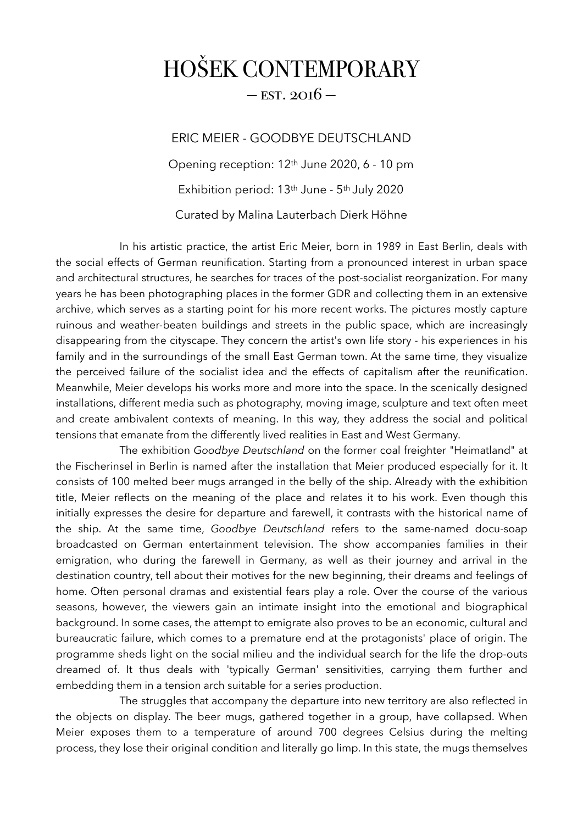## HOŠEK CONTEMPORARY  $-$  EST. 2016  $-$

ERIC MEIER - GOODBYE DEUTSCHLAND Opening reception: 12th June 2020, 6 - 10 pm Exhibition period: 13th June - 5th July 2020 Curated by Malina Lauterbach Dierk Höhne

 In his artistic practice, the artist Eric Meier, born in 1989 in East Berlin, deals with the social effects of German reunification. Starting from a pronounced interest in urban space and architectural structures, he searches for traces of the post-socialist reorganization. For many years he has been photographing places in the former GDR and collecting them in an extensive archive, which serves as a starting point for his more recent works. The pictures mostly capture ruinous and weather-beaten buildings and streets in the public space, which are increasingly disappearing from the cityscape. They concern the artist's own life story - his experiences in his family and in the surroundings of the small East German town. At the same time, they visualize the perceived failure of the socialist idea and the effects of capitalism after the reunification. Meanwhile, Meier develops his works more and more into the space. In the scenically designed installations, different media such as photography, moving image, sculpture and text often meet and create ambivalent contexts of meaning. In this way, they address the social and political tensions that emanate from the differently lived realities in East and West Germany.

The exhibition *Goodbye Deutschland* on the former coal freighter "Heimatland" at the Fischerinsel in Berlin is named after the installation that Meier produced especially for it. It consists of 100 melted beer mugs arranged in the belly of the ship. Already with the exhibition title, Meier reflects on the meaning of the place and relates it to his work. Even though this initially expresses the desire for departure and farewell, it contrasts with the historical name of the ship. At the same time, *Goodbye Deutschland* refers to the same-named docu-soap broadcasted on German entertainment television. The show accompanies families in their emigration, who during the farewell in Germany, as well as their journey and arrival in the destination country, tell about their motives for the new beginning, their dreams and feelings of home. Often personal dramas and existential fears play a role. Over the course of the various seasons, however, the viewers gain an intimate insight into the emotional and biographical background. In some cases, the attempt to emigrate also proves to be an economic, cultural and bureaucratic failure, which comes to a premature end at the protagonists' place of origin. The programme sheds light on the social milieu and the individual search for the life the drop-outs dreamed of. It thus deals with 'typically German' sensitivities, carrying them further and embedding them in a tension arch suitable for a series production.

The struggles that accompany the departure into new territory are also reflected in the objects on display. The beer mugs, gathered together in a group, have collapsed. When Meier exposes them to a temperature of around 700 degrees Celsius during the melting process, they lose their original condition and literally go limp. In this state, the mugs themselves